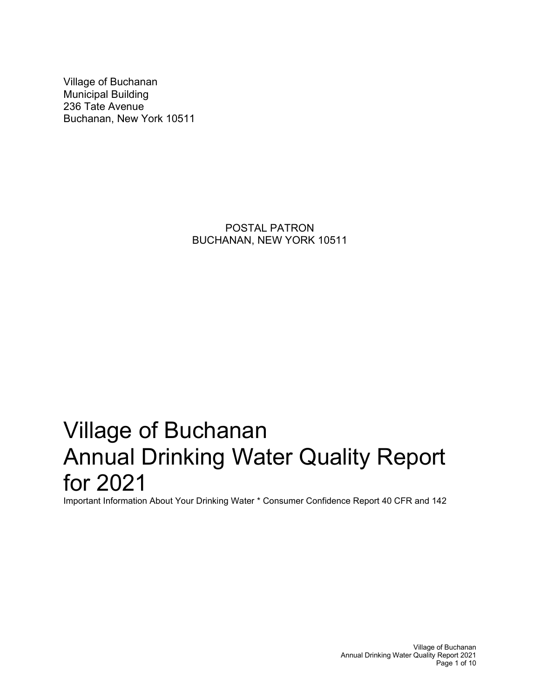Village of Buchanan Municipal Building 236 Tate Avenue Buchanan, New York 10511

> POSTAL PATRON BUCHANAN, NEW YORK 10511

# Village of Buchanan Annual Drinking Water Quality Report for 2021

Important Information About Your Drinking Water \* Consumer Confidence Report 40 CFR and 142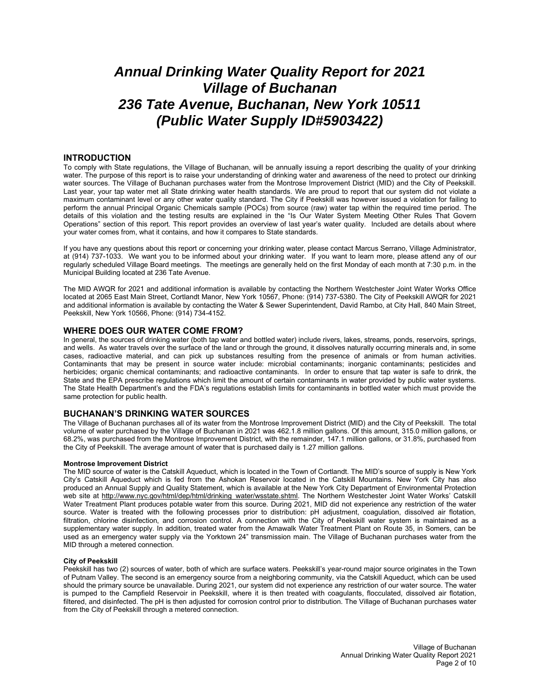# *Annual Drinking Water Quality Report for 2021 Village of Buchanan 236 Tate Avenue, Buchanan, New York 10511 (Public Water Supply ID#5903422)*

#### **INTRODUCTION**

To comply with State regulations, the Village of Buchanan, will be annually issuing a report describing the quality of your drinking water. The purpose of this report is to raise your understanding of drinking water and awareness of the need to protect our drinking water sources. The Village of Buchanan purchases water from the Montrose Improvement District (MID) and the City of Peekskill. Last year, your tap water met all State drinking water health standards. We are proud to report that our system did not violate a maximum contaminant level or any other water quality standard. The City if Peekskill was however issued a violation for failing to perform the annual Principal Organic Chemicals sample (POCs) from source (raw) water tap within the required time period. The details of this violation and the testing results are explained in the "Is Our Water System Meeting Other Rules That Govern Operations" section of this report. This report provides an overview of last year's water quality. Included are details about where your water comes from, what it contains, and how it compares to State standards.

If you have any questions about this report or concerning your drinking water, please contact Marcus Serrano, Village Administrator, at (914) 737-1033. We want you to be informed about your drinking water. If you want to learn more, please attend any of our regularly scheduled Village Board meetings. The meetings are generally held on the first Monday of each month at 7:30 p.m. in the Municipal Building located at 236 Tate Avenue.

The MID AWQR for 2021 and additional information is available by contacting the Northern Westchester Joint Water Works Office located at 2065 East Main Street, Cortlandt Manor, New York 10567, Phone: (914) 737-5380. The City of Peekskill AWQR for 2021 and additional information is available by contacting the Water & Sewer Superintendent, David Rambo, at City Hall, 840 Main Street, Peekskill, New York 10566, Phone: (914) 734-4152.

#### **WHERE DOES OUR WATER COME FROM?**

In general, the sources of drinking water (both tap water and bottled water) include rivers, lakes, streams, ponds, reservoirs, springs, and wells. As water travels over the surface of the land or through the ground, it dissolves naturally occurring minerals and, in some cases, radioactive material, and can pick up substances resulting from the presence of animals or from human activities. Contaminants that may be present in source water include: microbial contaminants; inorganic contaminants; pesticides and herbicides; organic chemical contaminants; and radioactive contaminants. In order to ensure that tap water is safe to drink, the State and the EPA prescribe regulations which limit the amount of certain contaminants in water provided by public water systems. The State Health Department's and the FDA's regulations establish limits for contaminants in bottled water which must provide the same protection for public health.

#### **BUCHANAN'S DRINKING WATER SOURCES**

The Village of Buchanan purchases all of its water from the Montrose Improvement District (MID) and the City of Peekskill. The total volume of water purchased by the Village of Buchanan in 2021 was 462.1.8 million gallons. Of this amount, 315.0 million gallons, or 68.2%, was purchased from the Montrose Improvement District, with the remainder, 147.1 million gallons, or 31.8%, purchased from the City of Peekskill. The average amount of water that is purchased daily is 1.27 million gallons.

#### **Montrose Improvement District**

The MID source of water is the Catskill Aqueduct, which is located in the Town of Cortlandt. The MID's source of supply is New York City's Catskill Aqueduct which is fed from the Ashokan Reservoir located in the Catskill Mountains. New York City has also produced an Annual Supply and Quality Statement, which is available at the New York City Department of Environmental Protection web site at [http://www.nyc.gov/html/dep/html/drinking\\_water/wsstate.shtml.](http://www.nyc.gov/html/dep/html/drinking_water/wsstate.shtml) The Northern Westchester Joint Water Works' Catskill Water Treatment Plant produces potable water from this source. During 2021, MID did not experience any restriction of the water source. Water is treated with the following processes prior to distribution: pH adjustment, coagulation, dissolved air flotation, filtration, chlorine disinfection, and corrosion control. A connection with the City of Peekskill water system is maintained as a supplementary water supply. In addition, treated water from the Amawalk Water Treatment Plant on Route 35, in Somers, can be used as an emergency water supply via the Yorktown 24" transmission main. The Village of Buchanan purchases water from the MID through a metered connection.

#### **City of Peekskill**

Peekskill has two (2) sources of water, both of which are surface waters. Peekskill's year-round major source originates in the Town of Putnam Valley. The second is an emergency source from a neighboring community, via the Catskill Aqueduct, which can be used should the primary source be unavailable. During 2021, our system did not experience any restriction of our water source. The water is pumped to the Campfield Reservoir in Peekskill, where it is then treated with coagulants, flocculated, dissolved air flotation, filtered, and disinfected. The pH is then adjusted for corrosion control prior to distribution. The Village of Buchanan purchases water from the City of Peekskill through a metered connection.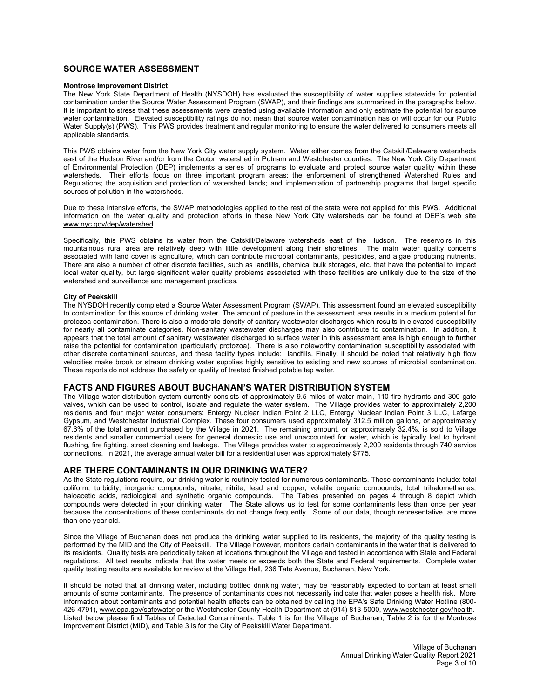# **SOURCE WATER ASSESSMENT**

#### **Montrose Improvement District**

The New York State Department of Health (NYSDOH) has evaluated the susceptibility of water supplies statewide for potential contamination under the Source Water Assessment Program (SWAP), and their findings are summarized in the paragraphs below. It is important to stress that these assessments were created using available information and only estimate the potential for source water contamination. Elevated susceptibility ratings do not mean that source water contamination has or will occur for our Public Water Supply(s) (PWS). This PWS provides treatment and regular monitoring to ensure the water delivered to consumers meets all applicable standards.

This PWS obtains water from the New York City water supply system. Water either comes from the Catskill/Delaware watersheds east of the Hudson River and/or from the Croton watershed in Putnam and Westchester counties. The New York City Department of Environmental Protection (DEP) implements a series of programs to evaluate and protect source water quality within these watersheds. Their efforts focus on three important program areas: the enforcement of strengthened Watershed Rules and Regulations; the acquisition and protection of watershed lands; and implementation of partnership programs that target specific sources of pollution in the watersheds.

Due to these intensive efforts, the SWAP methodologies applied to the rest of the state were not applied for this PWS. Additional information on the water quality and protection efforts in these New York City watersheds can be found at DEP's web site [www.nyc.gov/dep/watershed.](http://www.nyc.gov/dep/watershed)

Specifically, this PWS obtains its water from the Catskill/Delaware watersheds east of the Hudson. The reservoirs in this mountainous rural area are relatively deep with little development along their shorelines. The main water quality concerns associated with land cover is agriculture, which can contribute microbial contaminants, pesticides, and algae producing nutrients. There are also a number of other discrete facilities, such as landfills, chemical bulk storages, etc. that have the potential to impact local water quality, but large significant water quality problems associated with these facilities are unlikely due to the size of the watershed and surveillance and management practices.

#### **City of Peekskill**

The NYSDOH recently completed a Source Water Assessment Program (SWAP). This assessment found an elevated susceptibility to contamination for this source of drinking water. The amount of pasture in the assessment area results in a medium potential for protozoa contamination. There is also a moderate density of sanitary wastewater discharges which results in elevated susceptibility for nearly all contaminate categories. Non-sanitary wastewater discharges may also contribute to contamination. In addition, it appears that the total amount of sanitary wastewater discharged to surface water in this assessment area is high enough to further raise the potential for contamination (particularly protozoa). There is also noteworthy contamination susceptibility associated with other discrete contaminant sources, and these facility types include: landfills. Finally, it should be noted that relatively high flow velocities make brook or stream drinking water supplies highly sensitive to existing and new sources of microbial contamination. These reports do not address the safety or quality of treated finished potable tap water.

#### **FACTS AND FIGURES ABOUT BUCHANAN'S WATER DISTRIBUTION SYSTEM**

The Village water distribution system currently consists of approximately 9.5 miles of water main, 110 fire hydrants and 300 gate valves, which can be used to control, isolate and regulate the water system. The Village provides water to approximately 2,200 residents and four major water consumers: Entergy Nuclear Indian Point 2 LLC, Entergy Nuclear Indian Point 3 LLC, Lafarge Gypsum, and Westchester Industrial Complex. These four consumers used approximately 312.5 million gallons, or approximately 67.6% of the total amount purchased by the Village in 2021. The remaining amount, or approximately 32.4%, is sold to Village residents and smaller commercial users for general domestic use and unaccounted for water, which is typically lost to hydrant flushing, fire fighting, street cleaning and leakage. The Village provides water to approximately 2,200 residents through 740 service connections. In 2021, the average annual water bill for a residential user was approximately \$775.

#### **ARE THERE CONTAMINANTS IN OUR DRINKING WATER?**

As the State regulations require, our drinking water is routinely tested for numerous contaminants. These contaminants include: total coliform, turbidity, inorganic compounds, nitrate, nitrite, lead and copper, volatile organic compounds, total trihalomethanes, haloacetic acids, radiological and synthetic organic compounds. The Tables presented on pages 4 through 8 depict which compounds were detected in your drinking water. The State allows us to test for some contaminants less than once per year because the concentrations of these contaminants do not change frequently. Some of our data, though representative, are more than one year old.

Since the Village of Buchanan does not produce the drinking water supplied to its residents, the majority of the quality testing is performed by the MID and the City of Peekskill. The Village however, monitors certain contaminants in the water that is delivered to its residents. Quality tests are periodically taken at locations throughout the Village and tested in accordance with State and Federal regulations. All test results indicate that the water meets or exceeds both the State and Federal requirements. Complete water quality testing results are available for review at the Village Hall, 236 Tate Avenue, Buchanan, New York.

It should be noted that all drinking water, including bottled drinking water, may be reasonably expected to contain at least small amounts of some contaminants. The presence of contaminants does not necessarily indicate that water poses a health risk. More information about contaminants and potential health effects can be obtained by calling the EPA's Safe Drinking Water Hotline (800 426-4791), [www.epa.gov/safewater](http://www.epa.gov/safewater) or the Westchester County Health Department at (914) 813-5000[, www.westchester.gov/health.](http://www.westchester.gov/health) Listed below please find Tables of Detected Contaminants. Table 1 is for the Village of Buchanan, Table 2 is for the Montrose Improvement District (MID), and Table 3 is for the City of Peekskill Water Department.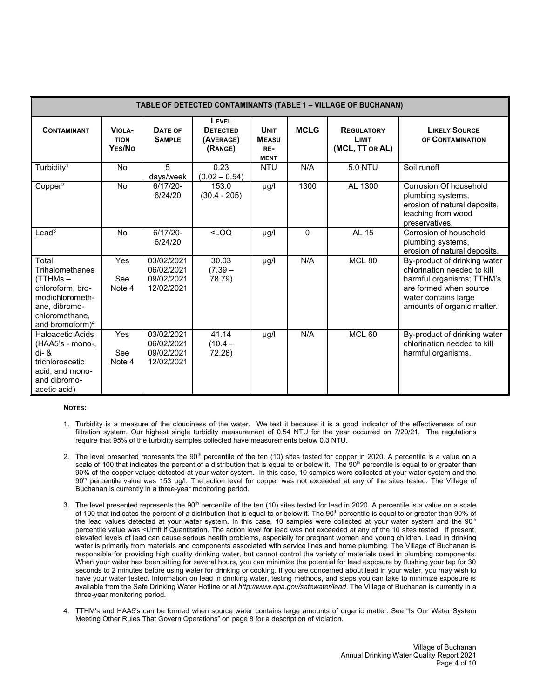| TABLE OF DETECTED CONTAMINANTS (TABLE 1 - VILLAGE OF BUCHANAN)                                                                        |                                        |                                                      |                                                  |                                                   |              |                                               |                                                                                                                                                                          |
|---------------------------------------------------------------------------------------------------------------------------------------|----------------------------------------|------------------------------------------------------|--------------------------------------------------|---------------------------------------------------|--------------|-----------------------------------------------|--------------------------------------------------------------------------------------------------------------------------------------------------------------------------|
| <b>CONTAMINANT</b>                                                                                                                    | <b>VIOLA-</b><br><b>TION</b><br>YES/NO | DATE OF<br><b>SAMPLE</b>                             | LEVEL<br><b>DETECTED</b><br>(AVERAGE)<br>(RANGE) | <b>UNIT</b><br><b>MEASU</b><br>RE-<br><b>MENT</b> | <b>MCLG</b>  | <b>REGULATORY</b><br>LIMIT<br>(MCL, TT OR AL) | <b>LIKELY SOURCE</b><br>OF CONTAMINATION                                                                                                                                 |
| Turbidity <sup>1</sup>                                                                                                                | <b>No</b>                              | 5<br>days/week                                       | 0.23<br>$(0.02 - 0.54)$                          | <b>NTU</b>                                        | N/A          | <b>5.0 NTU</b>                                | Soil runoff                                                                                                                                                              |
| Copper <sup>2</sup>                                                                                                                   | <b>No</b>                              | $6/17/20-$<br>6/24/20                                | 153.0<br>$(30.4 - 205)$                          | $\mu$ g/l                                         | 1300         | AL 1300                                       | Corrosion Of household<br>plumbing systems,<br>erosion of natural deposits,<br>leaching from wood<br>preservatives.                                                      |
| Lead <sup>3</sup>                                                                                                                     | N <sub>0</sub>                         | $6/17/20 -$<br>6/24/20                               | $<$ LOQ                                          | µg/l                                              | $\mathbf{0}$ | <b>AL 15</b>                                  | Corrosion of household<br>plumbing systems,<br>erosion of natural deposits.                                                                                              |
| Total<br>Trihalomethanes<br>(TTHMs –<br>chloroform, bro-<br>modichlorometh-<br>ane, dibromo-<br>chloromethane.<br>and bromoform $)^4$ | <b>Yes</b><br>See<br>Note 4            | 03/02/2021<br>06/02/2021<br>09/02/2021<br>12/02/2021 | 30.03<br>$(7.39 -$<br>78.79)                     | $\mu$ g/l                                         | N/A          | <b>MCL 80</b>                                 | By-product of drinking water<br>chlorination needed to kill<br>harmful organisms; TTHM's<br>are formed when source<br>water contains large<br>amounts of organic matter. |
| <b>Haloacetic Acids</b><br>(HAA5's - mono-,<br>$di - 8$<br>trichloroacetic<br>acid, and mono-<br>and dibromo-<br>acetic acid)         | Yes<br>See<br>Note 4                   | 03/02/2021<br>06/02/2021<br>09/02/2021<br>12/02/2021 | 41.14<br>$(10.4 -$<br>72.28)                     | $\mu$ g/l                                         | N/A          | MCL <sub>60</sub>                             | By-product of drinking water<br>chlorination needed to kill<br>harmful organisms.                                                                                        |

#### **NOTES:**

- 1. Turbidity is a measure of the cloudiness of the water. We test it because it is a good indicator of the effectiveness of our filtration system. Our highest single turbidity measurement of 0.54 NTU for the year occurred on 7/20/21. The regulations require that 95% of the turbidity samples collected have measurements below 0.3 NTU.
- 2. The level presented represents the  $90<sup>th</sup>$  percentile of the ten (10) sites tested for copper in 2020. A percentile is a value on a scale of 100 that indicates the percent of a distribution that is equal to or below it. The 90<sup>th</sup> percentile is equal to or greater than 90% of the copper values detected at your water system. In this case, 10 samples were collected at your water system and the 90th percentile value was 153 μg/l. The action level for copper was not exceeded at any of the sites tested. The Village of Buchanan is currently in a three-year monitoring period.
- 3. The level presented represents the 90<sup>th</sup> percentile of the ten (10) sites tested for lead in 2020. A percentile is a value on a scale of 100 that indicates the percent of a distribution that is equal to or below it. The 90<sup>th</sup> percentile is equal to or greater than 90% of the lead values detected at your water system. In this case, 10 samples were collected at your water system and the  $90<sup>th</sup>$ percentile value was <Limit if Quantitation. The action level for lead was not exceeded at any of the 10 sites tested. If present, elevated levels of lead can cause serious health problems, especially for pregnant women and young children. Lead in drinking water is primarily from materials and components associated with service lines and home plumbing. The Village of Buchanan is responsible for providing high quality drinking water, but cannot control the variety of materials used in plumbing components. When your water has been sitting for several hours, you can minimize the potential for lead exposure by flushing your tap for 30 seconds to 2 minutes before using water for drinking or cooking. If you are concerned about lead in your water, you may wish to have your water tested. Information on lead in drinking water, testing methods, and steps you can take to minimize exposure is available from the Safe Drinking Water Hotline or at *<http://www.epa.gov/safewater/lead>*. The Village of Buchanan is currently in a three-year monitoring period.
- 4. TTHM's and HAA5's can be formed when source water contains large amounts of organic matter. See "Is Our Water System Meeting Other Rules That Govern Operations" on page 8 for a description of violation.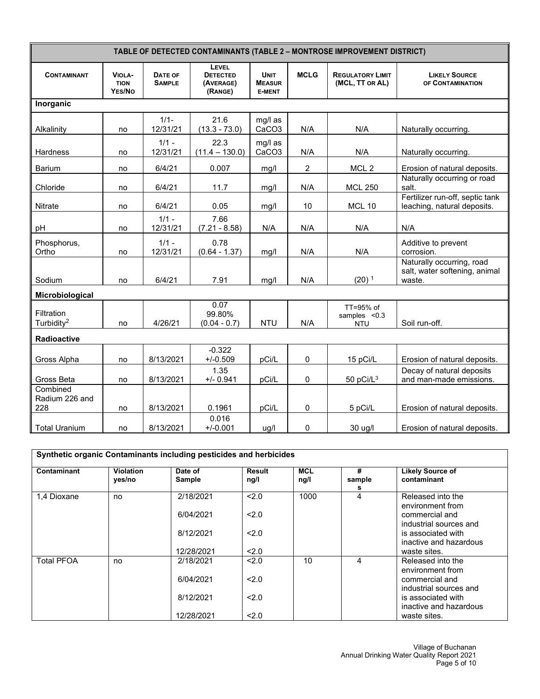| TABLE OF DETECTED CONTAMINANTS (TABLE 2 - MONTROSE IMPROVEMENT DISTRICT) |                                        |                          |                                                         |                                               |                |                                            |                                                                      |  |
|--------------------------------------------------------------------------|----------------------------------------|--------------------------|---------------------------------------------------------|-----------------------------------------------|----------------|--------------------------------------------|----------------------------------------------------------------------|--|
| <b>CONTAMINANT</b>                                                       | <b>VIOLA-</b><br><b>TION</b><br>YES/NO | DATE OF<br><b>SAMPLE</b> | <b>LEVEL</b><br><b>DETECTED</b><br>(AVERAGE)<br>(RANGE) | <b>UNIT</b><br><b>MEASUR</b><br><b>E-MENT</b> | <b>MCLG</b>    | <b>REGULATORY LIMIT</b><br>(MCL, TT OR AL) | <b>LIKELY SOURCE</b><br>OF CONTAMINATION                             |  |
| Inorganic                                                                |                                        |                          |                                                         |                                               |                |                                            |                                                                      |  |
| Alkalinity                                                               | no                                     | $1/1 -$<br>12/31/21      | 21.6<br>$(13.3 - 73.0)$                                 | mg/l as<br>CaCO <sub>3</sub>                  | N/A            | N/A                                        | Naturally occurring.                                                 |  |
| Hardness                                                                 | no                                     | $1/1 -$<br>12/31/21      | 22.3<br>$(11.4 - 130.0)$                                | mg/l as<br>CaCO <sub>3</sub>                  | N/A            | N/A                                        | Naturally occurring.                                                 |  |
| <b>Barium</b>                                                            | no                                     | 6/4/21                   | 0.007                                                   | mg/l                                          | $\overline{2}$ | MCL <sub>2</sub>                           | Erosion of natural deposits.                                         |  |
| Chloride                                                                 | no                                     | 6/4/21                   | 11.7                                                    | mg/l                                          | N/A            | <b>MCL 250</b>                             | Naturally occurring or road<br>salt.                                 |  |
| Nitrate                                                                  | no                                     | 6/4/21                   | 0.05                                                    | mg/l                                          | 10             | <b>MCL 10</b>                              | Fertilizer run-off, septic tank<br>leaching, natural deposits.       |  |
| pH                                                                       | no                                     | $1/1 -$<br>12/31/21      | 7.66<br>$(7.21 - 8.58)$                                 | N/A                                           | N/A            | N/A                                        | N/A                                                                  |  |
| Phosphorus,<br>Ortho                                                     | no                                     | $1/1 -$<br>12/31/21      | 0.78<br>$(0.64 - 1.37)$                                 | mg/l                                          | N/A            | N/A                                        | Additive to prevent<br>corrosion.                                    |  |
| Sodium                                                                   | no                                     | 6/4/21                   | 7.91                                                    | mg/l                                          | N/A            | $(20)$ <sup>1</sup>                        | Naturally occurring, road<br>salt, water softening, animal<br>waste. |  |
| Microbiological                                                          |                                        |                          |                                                         |                                               |                |                                            |                                                                      |  |
| <b>Filtration</b><br>Turbidity <sup>2</sup>                              | no                                     | 4/26/21                  | 0.07<br>99.80%<br>$(0.04 - 0.7)$                        | <b>NTU</b>                                    | N/A            | TT=95% of<br>samples $< 0.3$<br><b>NTU</b> | Soil run-off.                                                        |  |
| <b>Radioactive</b>                                                       |                                        |                          |                                                         |                                               |                |                                            |                                                                      |  |
| Gross Alpha                                                              | no                                     | 8/13/2021                | $-0.322$<br>$+/-0.509$                                  | pCi/L                                         | 0              | 15 pCi/L                                   | Erosion of natural deposits.                                         |  |
| Gross Beta                                                               | no                                     | 8/13/2021                | 1.35<br>$+/- 0.941$                                     | pCi/L                                         | $\pmb{0}$      | 50 pCi/ $L^3$                              | Decay of natural deposits<br>and man-made emissions.                 |  |
| Combined<br>Radium 226 and<br>228                                        | no                                     | 8/13/2021                | 0.1961                                                  | pCi/L                                         | 0              | 5 pCi/L                                    | Erosion of natural deposits.                                         |  |
| <b>Total Uranium</b>                                                     | no                                     | 8/13/2021                | 0.016<br>$+/-0.001$                                     | ug/l                                          | 0              | 30 ug/l                                    | Erosion of natural deposits.                                         |  |

| Contaminant       | <b>Violation</b><br>yes/no | Date of<br><b>Sample</b> | Result<br>ng/l | <b>MCL</b><br>ng/l | #<br>sample<br>s | <b>Likely Source of</b><br>contaminant       |
|-------------------|----------------------------|--------------------------|----------------|--------------------|------------------|----------------------------------------------|
| 1,4 Dioxane       | no                         | 2/18/2021                | < 2.0          | 1000               | 4                | Released into the<br>environment from        |
|                   |                            | 6/04/2021                | 2.0            |                    |                  | commercial and<br>industrial sources and     |
|                   |                            | 8/12/2021                | 2.0            |                    |                  | is associated with<br>inactive and hazardous |
|                   |                            | 12/28/2021               | 2.0            |                    |                  | waste sites.                                 |
| <b>Total PFOA</b> | no                         | 2/18/2021                | < 2.0          | 10                 | 4                | Released into the<br>environment from        |
|                   |                            | 6/04/2021                | 2.0            |                    |                  | commercial and<br>industrial sources and     |
|                   |                            | 8/12/2021                | 2.0            |                    |                  | is associated with<br>inactive and hazardous |
|                   |                            | 12/28/2021               | 2.0            |                    |                  | waste sites.                                 |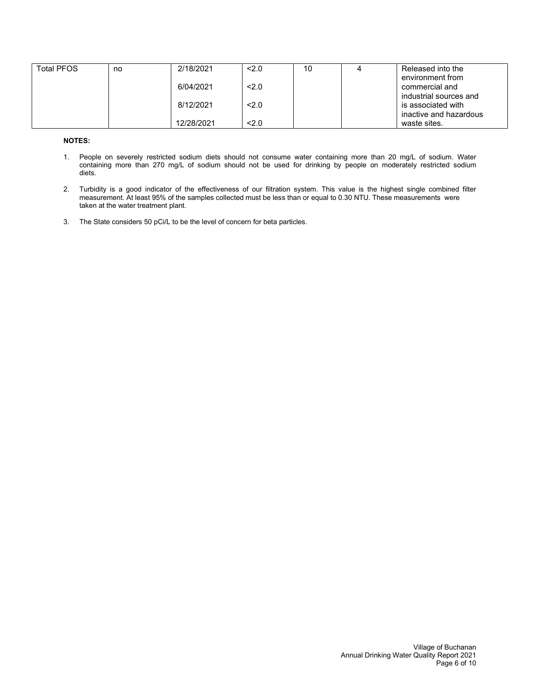| <b>Total PFOS</b> | no | 2/18/2021  | 2.0 | 10 | Released into the      |
|-------------------|----|------------|-----|----|------------------------|
|                   |    |            |     |    | environment from       |
|                   |    | 6/04/2021  | 2.0 |    | commercial and         |
|                   |    |            |     |    | industrial sources and |
|                   |    | 8/12/2021  | 2.0 |    | is associated with     |
|                   |    |            |     |    | inactive and hazardous |
|                   |    | 12/28/2021 | 2.0 |    | waste sites.           |

#### **NOTES:**

- 1. People on severely restricted sodium diets should not consume water containing more than 20 mg/L of sodium. Water containing more than 270 mg/L of sodium should not be used for drinking by people on moderately restricted sodium diets.
- 2. Turbidity is a good indicator of the effectiveness of our filtration system. This value is the highest single combined filter measurement. At least 95% of the samples collected must be less than or equal to 0.30 NTU. These measurements were taken at the water treatment plant.
- 3. The State considers 50 pCi/L to be the level of concern for beta particles.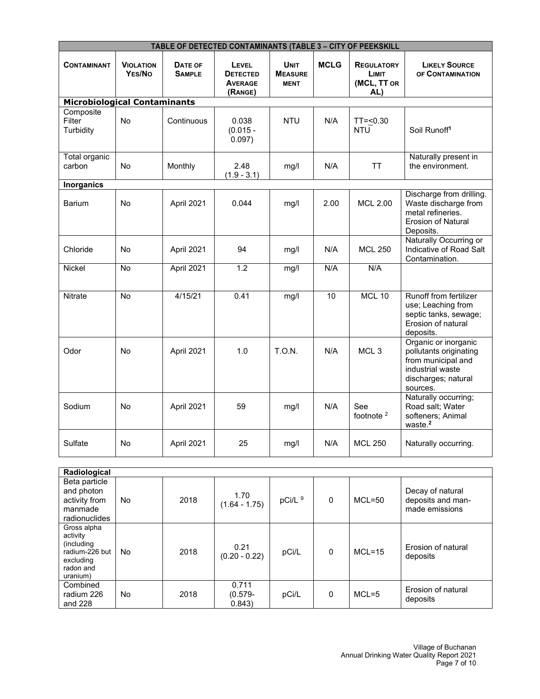| TABLE OF DETECTED CONTAMINANTS (TABLE 3 - CITY OF PEEKSKILL |                            |                          |                                                              |                                              |             |                                                  |                                                                                                                             |  |
|-------------------------------------------------------------|----------------------------|--------------------------|--------------------------------------------------------------|----------------------------------------------|-------------|--------------------------------------------------|-----------------------------------------------------------------------------------------------------------------------------|--|
| <b>CONTAMINANT</b>                                          | <b>VIOLATION</b><br>YES/No | DATE OF<br><b>SAMPLE</b> | <b>LEVEL</b><br><b>DETECTED</b><br><b>AVERAGE</b><br>(RANGE) | <b>UNIT</b><br><b>MEASURE</b><br><b>MENT</b> | <b>MCLG</b> | <b>REGULATORY</b><br>LIMIT<br>(MCL, TT OR<br>AL) | <b>LIKELY SOURCE</b><br>OF CONTAMINATION                                                                                    |  |
| <b>Microbiological Contaminants</b>                         |                            |                          |                                                              |                                              |             |                                                  |                                                                                                                             |  |
| Composite<br>Filter<br>Turbidity                            | No                         | Continuous               | 0.038<br>$(0.015 -$<br>0.097)                                | <b>NTU</b>                                   | N/A         | $TT = 0.30$<br><b>NTU</b>                        | Soil Runoff <sup>1</sup>                                                                                                    |  |
| <b>Total organic</b><br>carbon                              | No                         | Monthly                  | 2.48<br>$(1.9 - 3.1)$                                        | mg/l                                         | N/A         | <b>TT</b>                                        | Naturally present in<br>the environment.                                                                                    |  |
| <b>Inorganics</b>                                           |                            |                          |                                                              |                                              |             |                                                  |                                                                                                                             |  |
| <b>Barium</b>                                               | No                         | April 2021               | 0.044                                                        | mg/l                                         | 2.00        | <b>MCL 2.00</b>                                  | Discharge from drilling.<br>Waste discharge from<br>metal refineries.<br>Erosion of Natural<br>Deposits.                    |  |
| Chloride                                                    | No                         | April 2021               | 94                                                           | mg/l                                         | N/A         | <b>MCL 250</b>                                   | Naturally Occurring or<br>Indicative of Road Salt<br>Contamination.                                                         |  |
| <b>Nickel</b>                                               | <b>No</b>                  | April 2021               | 1.2                                                          | mg/l                                         | N/A         | N/A                                              |                                                                                                                             |  |
| <b>Nitrate</b>                                              | No                         | 4/15/21                  | 0.41                                                         | mg/l                                         | 10          | MCL 10                                           | Runoff from fertilizer<br>use; Leaching from<br>septic tanks, sewage;<br>Erosion of natural<br>deposits.                    |  |
| Odor                                                        | N <sub>0</sub>             | April 2021               | 1.0                                                          | T.O.N.                                       | N/A         | MCL <sub>3</sub>                                 | Organic or inorganic<br>pollutants originating<br>from municipal and<br>industrial waste<br>discharges; natural<br>sources. |  |
| Sodium                                                      | No                         | April 2021               | 59                                                           | mg/l                                         | N/A         | See<br>footnote <sup>2</sup>                     | Naturally occurring;<br>Road salt; Water<br>softeners; Animal<br>waste. <sup>2</sup>                                        |  |
| Sulfate                                                     | <b>No</b>                  | April 2021               | 25                                                           | mg/l                                         | N/A         | <b>MCL 250</b>                                   | Naturally occurring.                                                                                                        |  |

| Radiological                                                                                   |     |      |                              |         |   |            |                                                         |
|------------------------------------------------------------------------------------------------|-----|------|------------------------------|---------|---|------------|---------------------------------------------------------|
| Beta particle<br>and photon<br>activity from<br>manmade<br>radionuclides                       | No. | 2018 | 1.70<br>$(1.64 - 1.75)$      | pCi/L 9 | 0 | $MCL = 50$ | Decay of natural<br>deposits and man-<br>made emissions |
| Gross alpha<br>activity<br>(including)<br>radium-226 but<br>excluding<br>radon and<br>uranium) | No. | 2018 | 0.21<br>$(0.20 - 0.22)$      | pCi/L   | 0 | $MCL = 15$ | Erosion of natural<br>deposits                          |
| Combined<br>radium 226<br>and 228                                                              | No. | 2018 | 0.711<br>$(0.579 -$<br>0.843 | pCi/L   | 0 | $MCL = 5$  | Erosion of natural<br>deposits                          |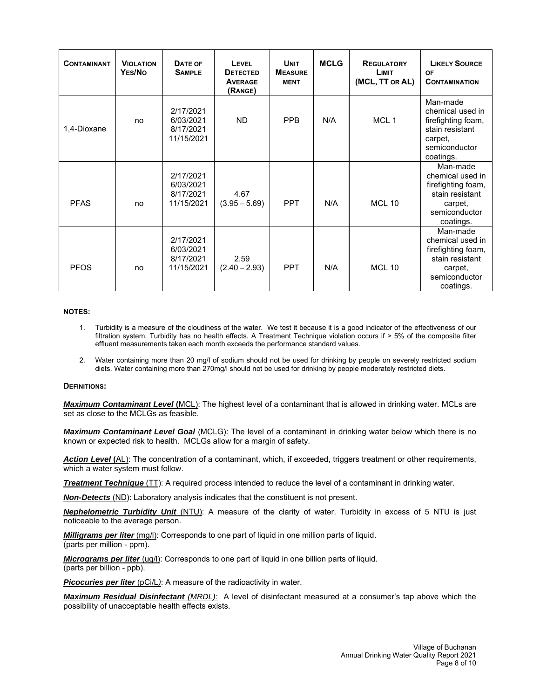| <b>CONTAMINANT</b> | <b>VIOLATION</b><br>YES/NO | DATE OF<br><b>SAMPLE</b>                          | LEVEL<br><b>DETECTED</b><br><b>AVERAGE</b><br>(RANGE) | <b>UNIT</b><br><b>MEASURE</b><br><b>MENT</b> | <b>MCLG</b> | <b>REGULATORY</b><br>LIMIT<br>(MCL, TT OR AL) | <b>LIKELY SOURCE</b><br>OF<br><b>CONTAMINATION</b>                                                             |
|--------------------|----------------------------|---------------------------------------------------|-------------------------------------------------------|----------------------------------------------|-------------|-----------------------------------------------|----------------------------------------------------------------------------------------------------------------|
| 1,4-Dioxane        | no                         | 2/17/2021<br>6/03/2021<br>8/17/2021<br>11/15/2021 | <b>ND</b>                                             | <b>PPB</b>                                   | N/A         | MCL 1                                         | Man-made<br>chemical used in<br>firefighting foam,<br>stain resistant<br>carpet,<br>semiconductor<br>coatings. |
| <b>PFAS</b>        | no                         | 2/17/2021<br>6/03/2021<br>8/17/2021<br>11/15/2021 | 4.67<br>$(3.95 - 5.69)$                               | <b>PPT</b>                                   | N/A         | <b>MCL 10</b>                                 | Man-made<br>chemical used in<br>firefighting foam,<br>stain resistant<br>carpet,<br>semiconductor<br>coatings. |
| <b>PFOS</b>        | no                         | 2/17/2021<br>6/03/2021<br>8/17/2021<br>11/15/2021 | 2.59<br>$(2.40 - 2.93)$                               | <b>PPT</b>                                   | N/A         | <b>MCL 10</b>                                 | Man-made<br>chemical used in<br>firefighting foam,<br>stain resistant<br>carpet,<br>semiconductor<br>coatings. |

#### **NOTES:**

- 1. Turbidity is a measure of the cloudiness of the water. We test it because it is a good indicator of the effectiveness of our filtration system. Turbidity has no health effects. A Treatment Technique violation occurs if > 5% of the composite filter effluent measurements taken each month exceeds the performance standard values.
- 2. Water containing more than 20 mg/l of sodium should not be used for drinking by people on severely restricted sodium diets. Water containing more than 270mg/l should not be used for drinking by people moderately restricted diets.

#### **DEFINITIONS:**

*Maximum Contaminant Level* **(**MCL): The highest level of a contaminant that is allowed in drinking water. MCLs are set as close to the MCLGs as feasible.

*Maximum Contaminant Level Goal* (MCLG): The level of a contaminant in drinking water below which there is no known or expected risk to health. MCLGs allow for a margin of safety.

Action Level (AL): The concentration of a contaminant, which, if exceeded, triggers treatment or other requirements, which a water system must follow.

*Treatment Technique* (TT): A required process intended to reduce the level of a contaminant in drinking water.

*Non-Detects* (ND): Laboratory analysis indicates that the constituent is not present.

*Nephelometric Turbidity Unit* (NTU): A measure of the clarity of water. Turbidity in excess of 5 NTU is just noticeable to the average person.

*Milligrams per liter* (mg/l): Corresponds to one part of liquid in one million parts of liquid. (parts per million - ppm).

*Micrograms per liter (ug/l):* Corresponds to one part of liquid in one billion parts of liquid. (parts per billion - ppb).

**Picocuries per liter** (pCi/L): A measure of the radioactivity in water.

*Maximum Residual Disinfectant (MRDL):* A level of disinfectant measured at a consumer's tap above which the possibility of unacceptable health effects exists.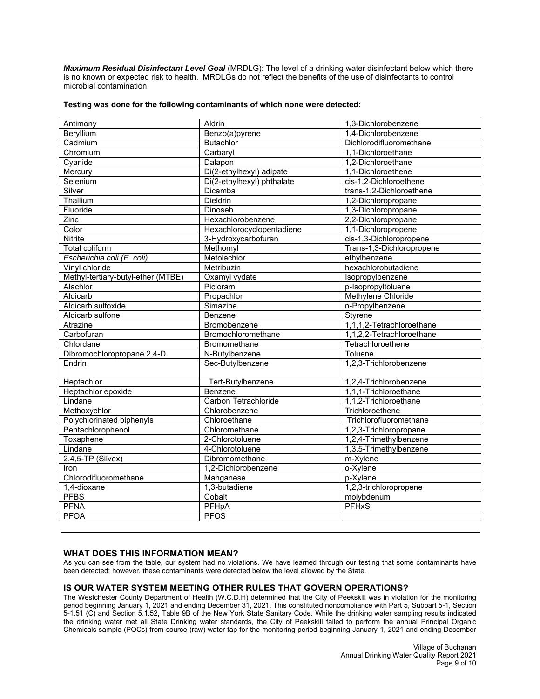*Maximum Residual Disinfectant Level Goal* (MRDLG): The level of a drinking water disinfectant below which there is no known or expected risk to health. MRDLGs do not reflect the benefits of the use of disinfectants to control microbial contamination.

#### **Testing was done for the following contaminants of which none were detected:**

| Antimony                           | Aldrin                     | 1,3-Dichlorobenzene       |
|------------------------------------|----------------------------|---------------------------|
| Beryllium                          | Benzo(a)pyrene             | 1,4-Dichlorobenzene       |
| Cadmium                            | <b>Butachlor</b>           | Dichlorodifluoromethane   |
| Chromium                           | Carbaryl                   | 1,1-Dichloroethane        |
| Cyanide                            | Dalapon                    | 1,2-Dichloroethane        |
| Mercury                            | Di(2-ethylhexyl) adipate   | 1,1-Dichloroethene        |
| Selenium                           | Di(2-ethylhexyl) phthalate | cis-1,2-Dichloroethene    |
| Silver                             | Dicamba                    | trans-1,2-Dichloroethene  |
| Thallium                           | Dieldrin                   | 1,2-Dichloropropane       |
| Fluoride                           | Dinoseb                    | 1,3-Dichloropropane       |
| Zinc                               | Hexachlorobenzene          | 2,2-Dichloropropane       |
| Color                              | Hexachlorocyclopentadiene  | 1,1-Dichloropropene       |
| <b>Nitrite</b>                     | 3-Hydroxycarbofuran        | cis-1,3-Dichloropropene   |
| <b>Total coliform</b>              | Methomyl                   | Trans-1,3-Dichloropropene |
| Escherichia coli (E. coli)         | Metolachlor                | ethylbenzene              |
| Vinyl chloride                     | Metribuzin                 | hexachlorobutadiene       |
| Methyl-tertiary-butyl-ether (MTBE) | Oxamyl vydate              | Isopropylbenzene          |
| Alachlor                           | Picloram                   | p-Isopropyltoluene        |
| Aldicarb                           | Propachlor                 | Methylene Chloride        |
| Aldicarb sulfoxide                 | Simazine                   | n-Propylbenzene           |
| Aldicarb sulfone                   | Benzene                    | Styrene                   |
| Atrazine                           | Bromobenzene               | 1,1,1,2-Tetrachloroethane |
| Carbofuran                         | Bromochloromethane         | 1,1,2,2-Tetrachloroethane |
| Chlordane                          | Bromomethane               | Tetrachloroethene         |
| Dibromochloropropane 2,4-D         | N-Butylbenzene             | Toluene                   |
| Endrin                             | Sec-Butylbenzene           | 1,2,3-Trichlorobenzene    |
| Heptachlor                         | Tert-Butylbenzene          | 1,2,4-Trichlorobenzene    |
| Heptachlor epoxide                 | Benzene                    | 1,1,1-Trichloroethane     |
| Lindane                            | Carbon Tetrachloride       | 1,1,2-Trichloroethane     |
| Methoxychlor                       | Chlorobenzene              | Trichloroethene           |
| Polychlorinated biphenyls          | Chloroethane               | Trichlorofluoromethane    |
| Pentachlorophenol                  | Chloromethane              | 1,2,3-Trichloropropane    |
| Toxaphene                          | 2-Chlorotoluene            | 1,2,4-Trimethylbenzene    |
| Lindane                            | 4-Chlorotoluene            | 1,3,5-Trimethylbenzene    |
| $2,4,5$ -TP (Silvex)               | Dibromomethane             | m-Xylene                  |
| Iron                               | 1,2-Dichlorobenzene        | o-Xylene                  |
| Chlorodifluoromethane              | Manganese                  | p-Xylene                  |
| $1,4$ -dioxane                     | 1,3-butadiene              | 1,2,3-trichloropropene    |
| <b>PFBS</b>                        | Cobalt                     | molybdenum                |
| <b>PFNA</b>                        | PFHpA                      | <b>PFHxS</b>              |
| <b>PFOA</b>                        | <b>PFOS</b>                |                           |
|                                    |                            |                           |

## **WHAT DOES THIS INFORMATION MEAN?**

As you can see from the table, our system had no violations. We have learned through our testing that some contaminants have been detected; however, these contaminants were detected below the level allowed by the State.

# **IS OUR WATER SYSTEM MEETING OTHER RULES THAT GOVERN OPERATIONS?**

The Westchester County Department of Health (W.C.D.H) determined that the City of Peekskill was in violation for the monitoring period beginning January 1, 2021 and ending December 31, 2021. This constituted noncompliance with Part 5, Subpart 5-1, Section 5-1.51 (C) and Section 5.1.52, Table 9B of the New York State Sanitary Code. While the drinking water sampling results indicated the drinking water met all State Drinking water standards, the City of Peekskill failed to perform the annual Principal Organic Chemicals sample (POCs) from source (raw) water tap for the monitoring period beginning January 1, 2021 and ending December